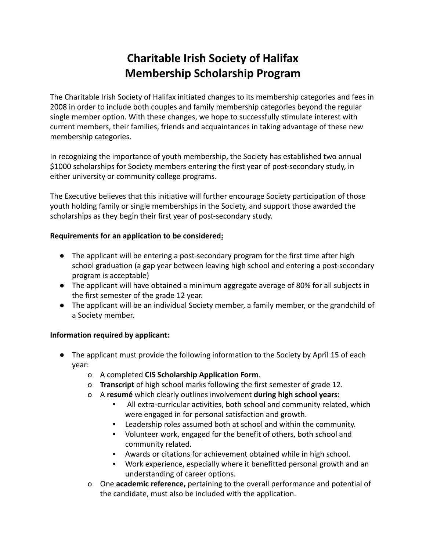# **Charitable Irish Society of Halifax Membership Scholarship Program**

The Charitable Irish Society of Halifax initiated changes to its membership categories and fees in 2008 in order to include both couples and family membership categories beyond the regular single member option. With these changes, we hope to successfully stimulate interest with current members, their families, friends and acquaintances in taking advantage of these new membership categories.

In recognizing the importance of youth membership, the Society has established two annual \$1000 scholarships for Society members entering the first year of post-secondary study, in either university or community college programs.

The Executive believes that this initiative will further encourage Society participation of those youth holding family or single memberships in the Society, and support those awarded the scholarships as they begin their first year of post-secondary study.

## **Requirements for an application to be considered:**

- The applicant will be entering a post-secondary program for the first time after high school graduation (a gap year between leaving high school and entering a post-secondary program is acceptable)
- The applicant will have obtained a minimum aggregate average of 80% for all subjects in the first semester of the grade 12 year.
- The applicant will be an individual Society member, a family member, or the grandchild of a Society member.

## **Information required by applicant:**

- The applicant must provide the following information to the Society by April 15 of each year:
	- o A completed **CIS Scholarship Application Form**.
	- o **Transcript** of high school marks following the first semester of grade 12.
	- o A **resumé** which clearly outlines involvement **during high school years**:
		- All extra-curricular activities, both school and community related, which were engaged in for personal satisfaction and growth.
		- Leadership roles assumed both at school and within the community.
		- Volunteer work, engaged for the benefit of others, both school and community related.
		- Awards or citations for achievement obtained while in high school.
		- Work experience, especially where it benefitted personal growth and an understanding of career options.
	- o One **academic reference,** pertaining to the overall performance and potential of the candidate, must also be included with the application.